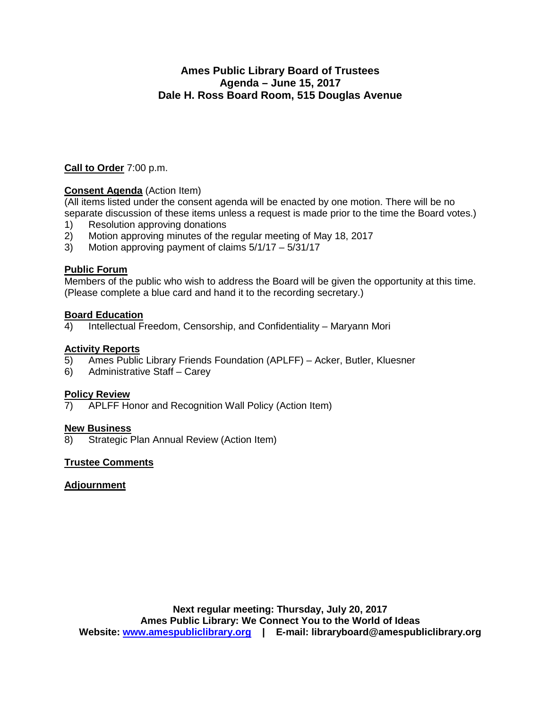## **Ames Public Library Board of Trustees Agenda – June 15, 2017 Dale H. Ross Board Room, 515 Douglas Avenue**

### **Call to Order** 7:00 p.m.

#### **Consent Agenda** (Action Item)

(All items listed under the consent agenda will be enacted by one motion. There will be no separate discussion of these items unless a request is made prior to the time the Board votes.)

- 1) Resolution approving donations<br>2) Motion approving minutes of the
- 2) Motion approving minutes of the regular meeting of May 18, 2017<br>3) Motion approving payment of claims  $5/1/17 5/31/17$
- Motion approving payment of claims  $5/1/17 5/31/17$

#### **Public Forum**

Members of the public who wish to address the Board will be given the opportunity at this time. (Please complete a blue card and hand it to the recording secretary.)

#### **Board Education**

4) Intellectual Freedom, Censorship, and Confidentiality – Maryann Mori

#### **Activity Reports**

- 5) Ames Public Library Friends Foundation (APLFF) Acker, Butler, Kluesner
- 6) Administrative Staff Carey

**Policy Review**<br>7) APLFF Ho APLFF Honor and Recognition Wall Policy (Action Item)

#### **New Business**

8) Strategic Plan Annual Review (Action Item)

#### **Trustee Comments**

#### **Adjournment**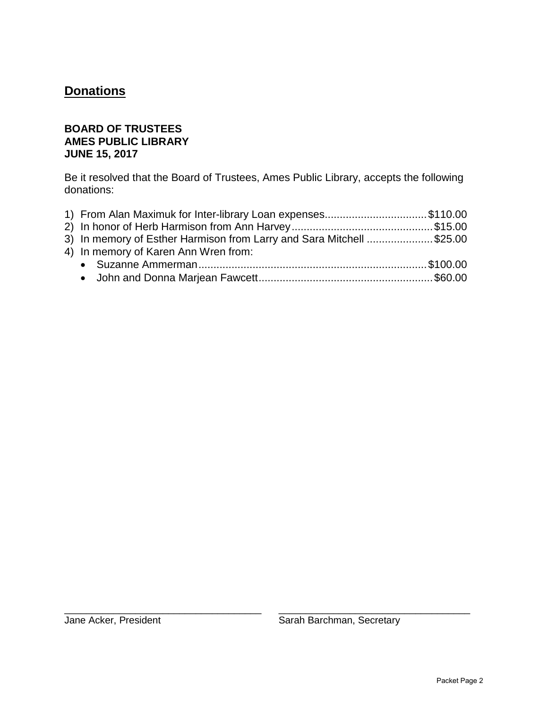# **Donations**

# **BOARD OF TRUSTEES AMES PUBLIC LIBRARY JUNE 15, 2017**

Be it resolved that the Board of Trustees, Ames Public Library, accepts the following donations:

| 1) From Alan Maximuk for Inter-library Loan expenses\$110.00         |  |
|----------------------------------------------------------------------|--|
|                                                                      |  |
| 3) In memory of Esther Harmison from Larry and Sara Mitchell \$25.00 |  |
| 4) In memory of Karen Ann Wren from:                                 |  |
|                                                                      |  |
|                                                                      |  |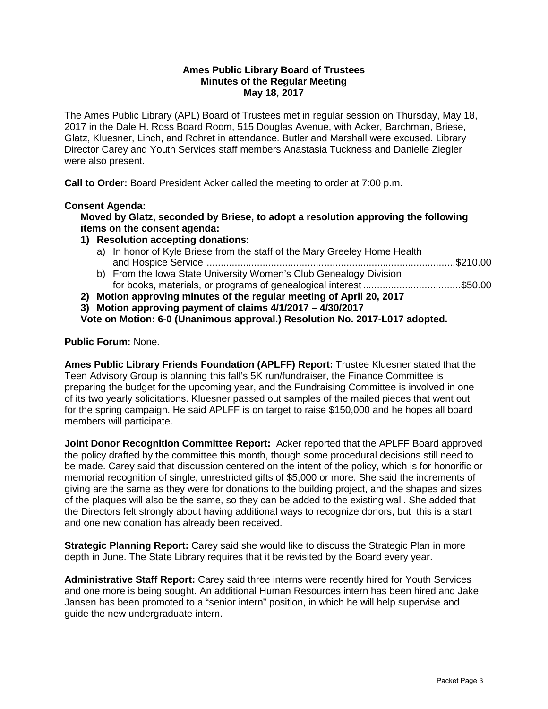#### **Ames Public Library Board of Trustees Minutes of the Regular Meeting May 18, 2017**

The Ames Public Library (APL) Board of Trustees met in regular session on Thursday, May 18, 2017 in the Dale H. Ross Board Room, 515 Douglas Avenue, with Acker, Barchman, Briese, Glatz, Kluesner, Linch, and Rohret in attendance. Butler and Marshall were excused. Library Director Carey and Youth Services staff members Anastasia Tuckness and Danielle Ziegler were also present.

**Call to Order:** Board President Acker called the meeting to order at 7:00 p.m.

#### **Consent Agenda:**

**Moved by Glatz, seconded by Briese, to adopt a resolution approving the following items on the consent agenda:**

- **1) Resolution accepting donations:** 
	- a) In honor of Kyle Briese from the staff of the Mary Greeley Home Health and Hospice Service .........................................................................................\$210.00
	- b) From the Iowa State University Women's Club Genealogy Division for books, materials, or programs of genealogical interest ................................... \$50.00
- **2) Motion approving minutes of the regular meeting of April 20, 2017**

**3) Motion approving payment of claims 4/1/2017 – 4/30/2017** 

**Vote on Motion: 6-0 (Unanimous approval.) Resolution No. 2017-L017 adopted.**

**Public Forum:** None.

**Ames Public Library Friends Foundation (APLFF) Report:** Trustee Kluesner stated that the Teen Advisory Group is planning this fall's 5K run/fundraiser, the Finance Committee is preparing the budget for the upcoming year, and the Fundraising Committee is involved in one of its two yearly solicitations. Kluesner passed out samples of the mailed pieces that went out for the spring campaign. He said APLFF is on target to raise \$150,000 and he hopes all board members will participate.

**Joint Donor Recognition Committee Report:** Acker reported that the APLFF Board approved the policy drafted by the committee this month, though some procedural decisions still need to be made. Carey said that discussion centered on the intent of the policy, which is for honorific or memorial recognition of single, unrestricted gifts of \$5,000 or more. She said the increments of giving are the same as they were for donations to the building project, and the shapes and sizes of the plaques will also be the same, so they can be added to the existing wall. She added that the Directors felt strongly about having additional ways to recognize donors, but this is a start and one new donation has already been received.

**Strategic Planning Report:** Carey said she would like to discuss the Strategic Plan in more depth in June. The State Library requires that it be revisited by the Board every year.

**Administrative Staff Report:** Carey said three interns were recently hired for Youth Services and one more is being sought. An additional Human Resources intern has been hired and Jake Jansen has been promoted to a "senior intern" position, in which he will help supervise and guide the new undergraduate intern.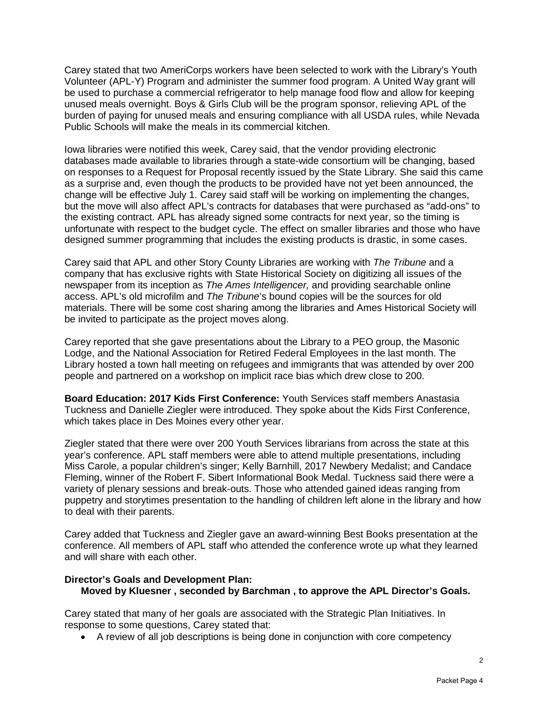Carey stated that two AmeriCorps workers have been selected to work with the Library's Youth Volunteer (APL-Y) Program and administer the summer food program. A United Way grant will be used to purchase a commercial refrigerator to help manage food flow and allow for keeping unused meals overnight. Boys & Girls Club will be the program sponsor, relieving APL of the burden of paying for unused meals and ensuring compliance with all USDA rules, while Nevada Public Schools will make the meals in its commercial kitchen.

Iowa libraries were notified this week, Carey said, that the vendor providing electronic databases made available to libraries through a state-wide consortium will be changing, based on responses to a Request for Proposal recently issued by the State Library. She said this came as a surprise and, even though the products to be provided have not yet been announced, the change will be effective July 1. Carey said staff will be working on implementing the changes, but the move will also affect APL's contracts for databases that were purchased as "add-ons" to the existing contract. APL has already signed some contracts for next year, so the timing is unfortunate with respect to the budget cycle. The effect on smaller libraries and those who have designed summer programming that includes the existing products is drastic, in some cases.

Carey said that APL and other Story County Libraries are working with *The Tribune* and a company that has exclusive rights with State Historical Society on digitizing all issues of the newspaper from its inception as *The Ames Intelligencer,* and providing searchable online access. APL's old microfilm and *The Tribune*'s bound copies will be the sources for old materials. There will be some cost sharing among the libraries and Ames Historical Society will be invited to participate as the project moves along.

Carey reported that she gave presentations about the Library to a PEO group, the Masonic Lodge, and the National Association for Retired Federal Employees in the last month. The Library hosted a town hall meeting on refugees and immigrants that was attended by over 200 people and partnered on a workshop on implicit race bias which drew close to 200.

**Board Education: 2017 Kids First Conference:** Youth Services staff members Anastasia Tuckness and Danielle Ziegler were introduced. They spoke about the Kids First Conference, which takes place in Des Moines every other year.

Ziegler stated that there were over 200 Youth Services librarians from across the state at this year's conference. APL staff members were able to attend multiple presentations, including Miss Carole, a popular children's singer; Kelly Barnhill, 2017 Newbery Medalist; and Candace Fleming, winner of the Robert F. Sibert Informational Book Medal. Tuckness said there were a variety of plenary sessions and break-outs. Those who attended gained ideas ranging from puppetry and storytimes presentation to the handling of children left alone in the library and how to deal with their parents.

Carey added that Tuckness and Ziegler gave an award-winning Best Books presentation at the conference. All members of APL staff who attended the conference wrote up what they learned and will share with each other.

#### **Director's Goals and Development Plan: Moved by Kluesner , seconded by Barchman , to approve the APL Director's Goals.**

Carey stated that many of her goals are associated with the Strategic Plan Initiatives. In response to some questions, Carey stated that:

• A review of all job descriptions is being done in conjunction with core competency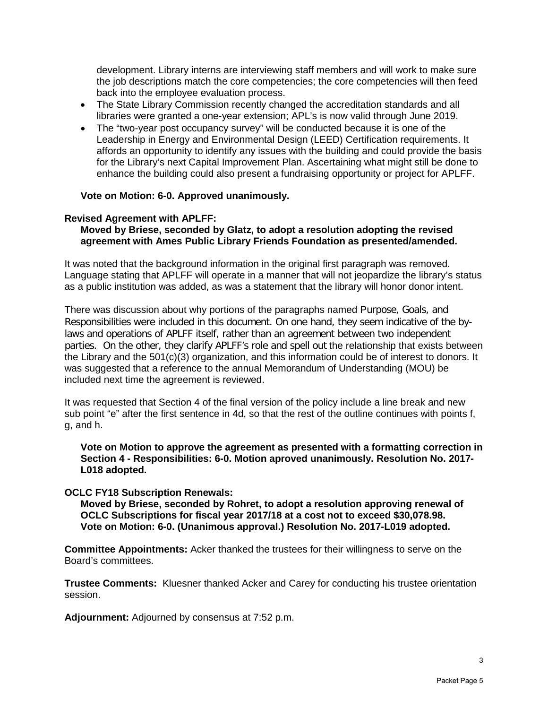development. Library interns are interviewing staff members and will work to make sure the job descriptions match the core competencies; the core competencies will then feed back into the employee evaluation process.

- The State Library Commission recently changed the accreditation standards and all libraries were granted a one-year extension; APL's is now valid through June 2019.
- The "two-year post occupancy survey" will be conducted because it is one of the Leadership in Energy and Environmental Design (LEED) Certification requirements. It affords an opportunity to identify any issues with the building and could provide the basis for the Library's next Capital Improvement Plan. Ascertaining what might still be done to enhance the building could also present a fundraising opportunity or project for APLFF.

#### **Vote on Motion: 6-0. Approved unanimously.**

#### **Revised Agreement with APLFF:**

#### **Moved by Briese, seconded by Glatz, to adopt a resolution adopting the revised agreement with Ames Public Library Friends Foundation as presented/amended.**

It was noted that the background information in the original first paragraph was removed. Language stating that APLFF will operate in a manner that will not jeopardize the library's status as a public institution was added, as was a statement that the library will honor donor intent.

There was discussion about why portions of the paragraphs named Purpose, Goals, and Responsibilities were included in this document. On one hand, they seem indicative of the bylaws and operations of APLFF itself, rather than an agreement between two independent parties. On the other, they clarify APLFF's role and spell out the relationship that exists between the Library and the 501(c)(3) organization, and this information could be of interest to donors. It was suggested that a reference to the annual Memorandum of Understanding (MOU) be included next time the agreement is reviewed.

It was requested that Section 4 of the final version of the policy include a line break and new sub point "e" after the first sentence in 4d, so that the rest of the outline continues with points f, g, and h.

#### **Vote on Motion to approve the agreement as presented with a formatting correction in Section 4 - Responsibilities: 6-0. Motion aproved unanimously. Resolution No. 2017- L018 adopted.**

#### **OCLC FY18 Subscription Renewals:**

**Moved by Briese, seconded by Rohret, to adopt a resolution approving renewal of OCLC Subscriptions for fiscal year 2017/18 at a cost not to exceed \$30,078.98. Vote on Motion: 6-0. (Unanimous approval.) Resolution No. 2017-L019 adopted.**

**Committee Appointments:** Acker thanked the trustees for their willingness to serve on the Board's committees.

**Trustee Comments:** Kluesner thanked Acker and Carey for conducting his trustee orientation session.

**Adjournment:** Adjourned by consensus at 7:52 p.m.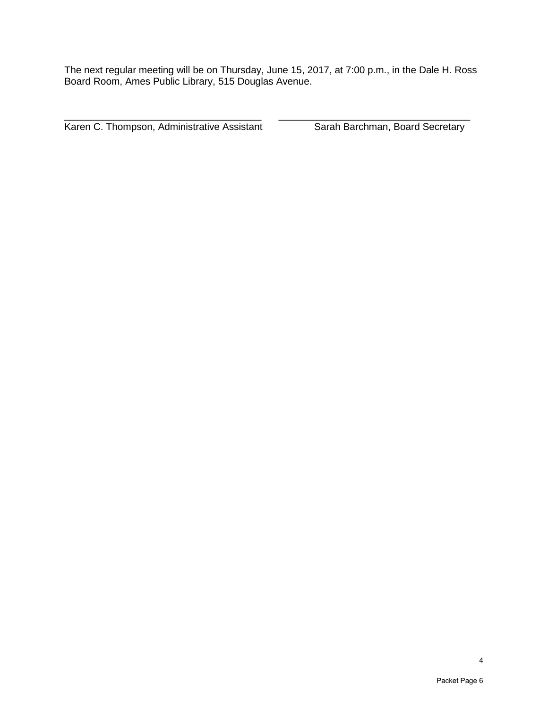The next regular meeting will be on Thursday, June 15, 2017, at 7:00 p.m., in the Dale H. Ross Board Room, Ames Public Library, 515 Douglas Avenue.

\_\_\_\_\_\_\_\_\_\_\_\_\_\_\_\_\_\_\_\_\_\_\_\_\_\_\_\_\_\_\_\_\_\_\_\_ \_\_\_\_\_\_\_\_\_\_\_\_\_\_\_\_\_\_\_\_\_\_\_\_\_\_\_\_\_\_\_\_\_\_\_ Karen C. Thompson, Administrative Assistant Sarah Barchman, Board Secretary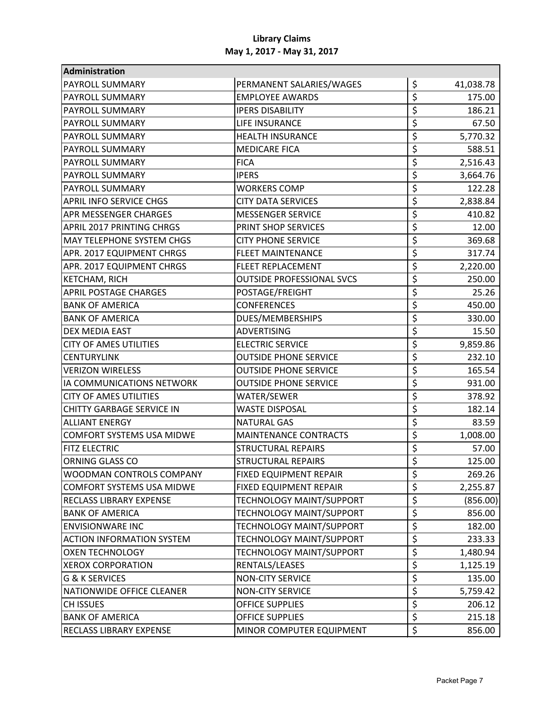| Administration                   |                                  |                                     |           |
|----------------------------------|----------------------------------|-------------------------------------|-----------|
| <b>PAYROLL SUMMARY</b>           | PERMANENT SALARIES/WAGES         | \$                                  | 41,038.78 |
| <b>PAYROLL SUMMARY</b>           | <b>EMPLOYEE AWARDS</b>           | \$                                  | 175.00    |
| <b>PAYROLL SUMMARY</b>           | <b>IPERS DISABILITY</b>          | \$                                  | 186.21    |
| <b>PAYROLL SUMMARY</b>           | LIFE INSURANCE                   | \$                                  | 67.50     |
| <b>PAYROLL SUMMARY</b>           | <b>HEALTH INSURANCE</b>          | \$                                  | 5,770.32  |
| <b>PAYROLL SUMMARY</b>           | <b>MEDICARE FICA</b>             | \$                                  | 588.51    |
| <b>PAYROLL SUMMARY</b>           | <b>FICA</b>                      | \$                                  | 2,516.43  |
| <b>PAYROLL SUMMARY</b>           | <b>IPERS</b>                     | $\overline{\xi}$                    | 3,664.76  |
| <b>PAYROLL SUMMARY</b>           | <b>WORKERS COMP</b>              | \$                                  | 122.28    |
| <b>APRIL INFO SERVICE CHGS</b>   | <b>CITY DATA SERVICES</b>        | \$                                  | 2,838.84  |
| <b>APR MESSENGER CHARGES</b>     | <b>MESSENGER SERVICE</b>         | \$                                  | 410.82    |
| <b>APRIL 2017 PRINTING CHRGS</b> | PRINT SHOP SERVICES              | $\overline{\mathsf{S}}$             | 12.00     |
| <b>MAY TELEPHONE SYSTEM CHGS</b> | <b>CITY PHONE SERVICE</b>        | $\overline{\xi}$                    | 369.68    |
| APR. 2017 EQUIPMENT CHRGS        | <b>FLEET MAINTENANCE</b>         | \$                                  | 317.74    |
| APR. 2017 EQUIPMENT CHRGS        | FLEET REPLACEMENT                | \$                                  | 2,220.00  |
| <b>KETCHAM, RICH</b>             | <b>OUTSIDE PROFESSIONAL SVCS</b> | \$                                  | 250.00    |
| <b>APRIL POSTAGE CHARGES</b>     | POSTAGE/FREIGHT                  | \$                                  | 25.26     |
| <b>BANK OF AMERICA</b>           | <b>CONFERENCES</b>               | \$                                  | 450.00    |
| <b>BANK OF AMERICA</b>           | DUES/MEMBERSHIPS                 | \$                                  | 330.00    |
| <b>DEX MEDIA EAST</b>            | <b>ADVERTISING</b>               | $\overline{\xi}$                    | 15.50     |
| <b>CITY OF AMES UTILITIES</b>    | <b>ELECTRIC SERVICE</b>          | \$                                  | 9,859.86  |
| <b>CENTURYLINK</b>               | <b>OUTSIDE PHONE SERVICE</b>     | \$                                  | 232.10    |
| <b>VERIZON WIRELESS</b>          | <b>OUTSIDE PHONE SERVICE</b>     | \$                                  | 165.54    |
| IA COMMUNICATIONS NETWORK        | <b>OUTSIDE PHONE SERVICE</b>     | \$                                  | 931.00    |
| <b>CITY OF AMES UTILITIES</b>    | WATER/SEWER                      | \$                                  | 378.92    |
| <b>CHITTY GARBAGE SERVICE IN</b> | <b>WASTE DISPOSAL</b>            | \$                                  | 182.14    |
| <b>ALLIANT ENERGY</b>            | <b>NATURAL GAS</b>               | $\overline{\mathsf{S}}$             | 83.59     |
| <b>COMFORT SYSTEMS USA MIDWE</b> | <b>MAINTENANCE CONTRACTS</b>     | \$                                  | 1,008.00  |
| <b>FITZ ELECTRIC</b>             | <b>STRUCTURAL REPAIRS</b>        | $\overline{\boldsymbol{\varsigma}}$ | 57.00     |
| ORNING GLASS CO                  | <b>STRUCTURAL REPAIRS</b>        | \$                                  | 125.00    |
| WOODMAN CONTROLS COMPANY         | FIXED EQUIPMENT REPAIR           | \$                                  | 269.26    |
| <b>COMFORT SYSTEMS USA MIDWE</b> | FIXED EQUIPMENT REPAIR           | \$                                  | 2,255.87  |
| <b>RECLASS LIBRARY EXPENSE</b>   | <b>TECHNOLOGY MAINT/SUPPORT</b>  | \$                                  | (856.00)  |
| <b>BANK OF AMERICA</b>           | TECHNOLOGY MAINT/SUPPORT         | $\overline{\xi}$                    | 856.00    |
| <b>ENVISIONWARE INC</b>          | <b>TECHNOLOGY MAINT/SUPPORT</b>  | $\overline{\boldsymbol{\zeta}}$     | 182.00    |
| <b>ACTION INFORMATION SYSTEM</b> | TECHNOLOGY MAINT/SUPPORT         | $\overline{\boldsymbol{\zeta}}$     | 233.33    |
| <b>OXEN TECHNOLOGY</b>           | TECHNOLOGY MAINT/SUPPORT         | \$                                  | 1,480.94  |
| <b>XEROX CORPORATION</b>         | RENTALS/LEASES                   | \$                                  | 1,125.19  |
| <b>G &amp; K SERVICES</b>        | <b>NON-CITY SERVICE</b>          | $\overline{\xi}$                    | 135.00    |
| NATIONWIDE OFFICE CLEANER        | <b>NON-CITY SERVICE</b>          | $\overline{\boldsymbol{\zeta}}$     | 5,759.42  |
| <b>CH ISSUES</b>                 | <b>OFFICE SUPPLIES</b>           | \$                                  | 206.12    |
| <b>BANK OF AMERICA</b>           | OFFICE SUPPLIES                  | $\overline{\xi}$                    | 215.18    |
| <b>RECLASS LIBRARY EXPENSE</b>   | MINOR COMPUTER EQUIPMENT         | $\overline{\xi}$                    | 856.00    |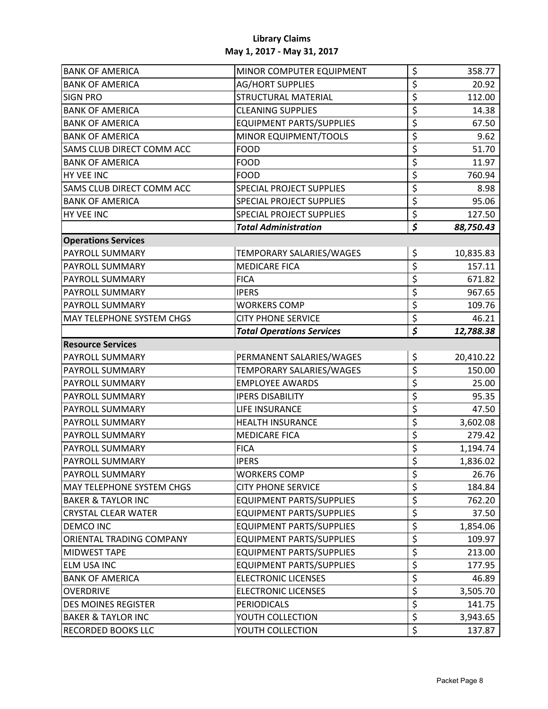| <b>BANK OF AMERICA</b>           | MINOR COMPUTER EQUIPMENT         | \$                                  | 358.77    |
|----------------------------------|----------------------------------|-------------------------------------|-----------|
| <b>BANK OF AMERICA</b>           | <b>AG/HORT SUPPLIES</b>          | \$                                  | 20.92     |
| <b>SIGN PRO</b>                  | <b>STRUCTURAL MATERIAL</b>       | $\overline{\boldsymbol{\varsigma}}$ | 112.00    |
| <b>BANK OF AMERICA</b>           | <b>CLEANING SUPPLIES</b>         | \$                                  | 14.38     |
| <b>BANK OF AMERICA</b>           | <b>EQUIPMENT PARTS/SUPPLIES</b>  | \$                                  | 67.50     |
| <b>BANK OF AMERICA</b>           | MINOR EQUIPMENT/TOOLS            | $\overline{\xi}$                    | 9.62      |
| SAMS CLUB DIRECT COMM ACC        | <b>FOOD</b>                      | $\overline{\boldsymbol{\varsigma}}$ | 51.70     |
| <b>BANK OF AMERICA</b>           | <b>FOOD</b>                      | $\overline{\xi}$                    | 11.97     |
| HY VEE INC                       | <b>FOOD</b>                      | $\overline{\xi}$                    | 760.94    |
| SAMS CLUB DIRECT COMM ACC        | <b>SPECIAL PROJECT SUPPLIES</b>  | $\overline{\boldsymbol{\zeta}}$     | 8.98      |
| <b>BANK OF AMERICA</b>           | <b>SPECIAL PROJECT SUPPLIES</b>  | $\overline{\boldsymbol{\zeta}}$     | 95.06     |
| HY VEE INC                       | <b>SPECIAL PROJECT SUPPLIES</b>  | $\overline{\xi}$                    | 127.50    |
|                                  | <b>Total Administration</b>      | $\overline{\boldsymbol{\zeta}}$     | 88,750.43 |
| <b>Operations Services</b>       |                                  |                                     |           |
| <b>PAYROLL SUMMARY</b>           | TEMPORARY SALARIES/WAGES         | \$                                  | 10,835.83 |
| PAYROLL SUMMARY                  | <b>MEDICARE FICA</b>             | \$                                  | 157.11    |
| <b>PAYROLL SUMMARY</b>           | <b>FICA</b>                      | $\overline{\xi}$                    | 671.82    |
| PAYROLL SUMMARY                  | <b>IPERS</b>                     | $\overline{\xi}$                    | 967.65    |
| <b>PAYROLL SUMMARY</b>           | <b>WORKERS COMP</b>              | \$                                  | 109.76    |
| <b>MAY TELEPHONE SYSTEM CHGS</b> | <b>CITY PHONE SERVICE</b>        | $\overline{\xi}$                    | 46.21     |
|                                  | <b>Total Operations Services</b> | $\overline{\boldsymbol{\xi}}$       | 12,788.38 |
| <b>Resource Services</b>         |                                  |                                     |           |
| <b>PAYROLL SUMMARY</b>           | PERMANENT SALARIES/WAGES         | \$                                  | 20,410.22 |
| <b>PAYROLL SUMMARY</b>           | TEMPORARY SALARIES/WAGES         | $\overline{\xi}$                    | 150.00    |
| <b>PAYROLL SUMMARY</b>           | <b>EMPLOYEE AWARDS</b>           | $\overline{\xi}$                    | 25.00     |
| PAYROLL SUMMARY                  | <b>IPERS DISABILITY</b>          | $\overline{\xi}$                    | 95.35     |
| <b>PAYROLL SUMMARY</b>           | LIFE INSURANCE                   | $\overline{\xi}$                    | 47.50     |
| <b>PAYROLL SUMMARY</b>           | <b>HEALTH INSURANCE</b>          | $\overline{\xi}$                    | 3,602.08  |
| <b>PAYROLL SUMMARY</b>           | <b>MEDICARE FICA</b>             | $\overline{\boldsymbol{\zeta}}$     | 279.42    |
| <b>PAYROLL SUMMARY</b>           | <b>FICA</b>                      | $\overline{\boldsymbol{\zeta}}$     | 1,194.74  |
| <b>PAYROLL SUMMARY</b>           | <b>IPERS</b>                     | $\overline{\xi}$                    | 1,836.02  |
| <b>PAYROLL SUMMARY</b>           | <b>WORKERS COMP</b>              | \$                                  | 26.76     |
| <b>MAY TELEPHONE SYSTEM CHGS</b> | <b>CITY PHONE SERVICE</b>        | $\overline{\xi}$                    | 184.84    |
| <b>BAKER &amp; TAYLOR INC</b>    | <b>EQUIPMENT PARTS/SUPPLIES</b>  | $\overline{\xi}$                    | 762.20    |
| <b>CRYSTAL CLEAR WATER</b>       | <b>EQUIPMENT PARTS/SUPPLIES</b>  | \$                                  | 37.50     |
| DEMCO INC                        | <b>EQUIPMENT PARTS/SUPPLIES</b>  | $\overline{\xi}$                    | 1,854.06  |
| ORIENTAL TRADING COMPANY         | <b>EQUIPMENT PARTS/SUPPLIES</b>  | $\overline{\boldsymbol{\zeta}}$     | 109.97    |
| <b>MIDWEST TAPE</b>              | <b>EQUIPMENT PARTS/SUPPLIES</b>  | $\overline{\xi}$                    | 213.00    |
| <b>ELM USA INC</b>               | <b>EQUIPMENT PARTS/SUPPLIES</b>  | $\overline{\boldsymbol{\zeta}}$     | 177.95    |
| <b>BANK OF AMERICA</b>           | <b>ELECTRONIC LICENSES</b>       | $\overline{\xi}$                    | 46.89     |
| <b>OVERDRIVE</b>                 | <b>ELECTRONIC LICENSES</b>       | $\overline{\xi}$                    | 3,505.70  |
| <b>DES MOINES REGISTER</b>       | <b>PERIODICALS</b>               | $\overline{\xi}$                    | 141.75    |
| <b>BAKER &amp; TAYLOR INC</b>    | YOUTH COLLECTION                 | $\overline{\xi}$                    | 3,943.65  |
| <b>RECORDED BOOKS LLC</b>        | YOUTH COLLECTION                 | $\overline{\xi}$                    | 137.87    |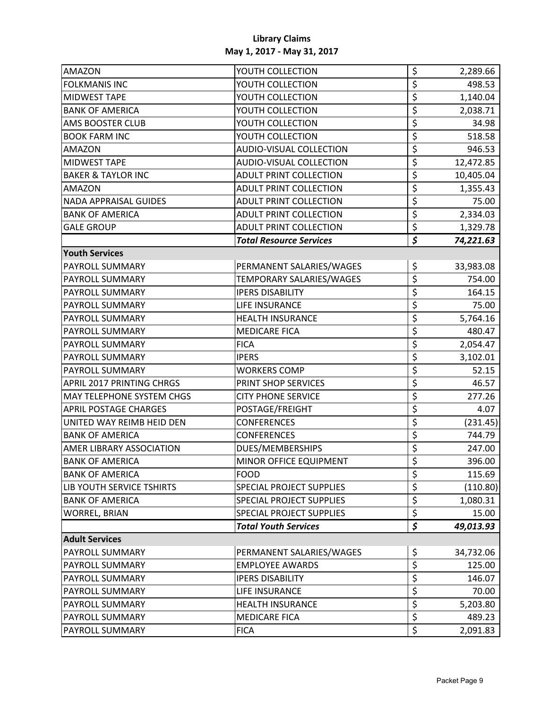| AMAZON                           | YOUTH COLLECTION               | \$                              | 2,289.66  |
|----------------------------------|--------------------------------|---------------------------------|-----------|
| <b>FOLKMANIS INC</b>             | YOUTH COLLECTION               | \$                              | 498.53    |
| <b>MIDWEST TAPE</b>              | YOUTH COLLECTION               | \$                              | 1,140.04  |
| <b>BANK OF AMERICA</b>           | YOUTH COLLECTION               | \$                              | 2,038.71  |
| <b>AMS BOOSTER CLUB</b>          | YOUTH COLLECTION               | \$                              | 34.98     |
| <b>BOOK FARM INC</b>             | YOUTH COLLECTION               | $\overline{\xi}$                | 518.58    |
| <b>AMAZON</b>                    | AUDIO-VISUAL COLLECTION        | \$                              | 946.53    |
| <b>MIDWEST TAPE</b>              | AUDIO-VISUAL COLLECTION        | $\overline{\xi}$                | 12,472.85 |
| <b>BAKER &amp; TAYLOR INC</b>    | ADULT PRINT COLLECTION         | \$                              | 10,405.04 |
| <b>AMAZON</b>                    | <b>ADULT PRINT COLLECTION</b>  | $\overline{\boldsymbol{\zeta}}$ | 1,355.43  |
| <b>NADA APPRAISAL GUIDES</b>     | <b>ADULT PRINT COLLECTION</b>  | \$                              | 75.00     |
| <b>BANK OF AMERICA</b>           | <b>ADULT PRINT COLLECTION</b>  | $\overline{\xi}$                | 2,334.03  |
| <b>GALE GROUP</b>                | ADULT PRINT COLLECTION         | $\overline{\xi}$                | 1,329.78  |
|                                  | <b>Total Resource Services</b> | $\overline{\boldsymbol{\zeta}}$ | 74,221.63 |
| <b>Youth Services</b>            |                                |                                 |           |
| PAYROLL SUMMARY                  | PERMANENT SALARIES/WAGES       | \$                              | 33,983.08 |
| <b>PAYROLL SUMMARY</b>           | TEMPORARY SALARIES/WAGES       | $\overline{\xi}$                | 754.00    |
| PAYROLL SUMMARY                  | <b>IPERS DISABILITY</b>        | $\overline{\xi}$                | 164.15    |
| <b>PAYROLL SUMMARY</b>           | LIFE INSURANCE                 | $\overline{\xi}$                | 75.00     |
| <b>PAYROLL SUMMARY</b>           | <b>HEALTH INSURANCE</b>        | \$                              | 5,764.16  |
| <b>PAYROLL SUMMARY</b>           | <b>MEDICARE FICA</b>           | $\overline{\mathsf{S}}$         | 480.47    |
| <b>PAYROLL SUMMARY</b>           | <b>FICA</b>                    | $\overline{\xi}$                | 2,054.47  |
| <b>PAYROLL SUMMARY</b>           | <b>IPERS</b>                   | \$                              | 3,102.01  |
| <b>PAYROLL SUMMARY</b>           | <b>WORKERS COMP</b>            | $\overline{\xi}$                | 52.15     |
| <b>APRIL 2017 PRINTING CHRGS</b> | PRINT SHOP SERVICES            | \$                              | 46.57     |
| <b>MAY TELEPHONE SYSTEM CHGS</b> | <b>CITY PHONE SERVICE</b>      | $\overline{\xi}$                | 277.26    |
| <b>APRIL POSTAGE CHARGES</b>     | POSTAGE/FREIGHT                | $\overline{\xi}$                | 4.07      |
| UNITED WAY REIMB HEID DEN        | <b>CONFERENCES</b>             | \$                              | (231.45)  |
| <b>BANK OF AMERICA</b>           | <b>CONFERENCES</b>             | $\overline{\boldsymbol{\zeta}}$ | 744.79    |
| <b>AMER LIBRARY ASSOCIATION</b>  | DUES/MEMBERSHIPS               | $\overline{\xi}$                | 247.00    |
| <b>BANK OF AMERICA</b>           | MINOR OFFICE EQUIPMENT         | $\overline{\xi}$                | 396.00    |
| <b>BANK OF AMERICA</b>           | <b>FOOD</b>                    | \$                              | 115.69    |
| LIB YOUTH SERVICE TSHIRTS        | SPECIAL PROJECT SUPPLIES       | $\overline{\xi}$                | (110.80)  |
| <b>BANK OF AMERICA</b>           | SPECIAL PROJECT SUPPLIES       | $\overline{\xi}$                | 1,080.31  |
| <b>WORREL, BRIAN</b>             | SPECIAL PROJECT SUPPLIES       | \$                              | 15.00     |
|                                  | <b>Total Youth Services</b>    | $\overline{\boldsymbol{\zeta}}$ | 49,013.93 |
| <b>Adult Services</b>            |                                |                                 |           |
| <b>PAYROLL SUMMARY</b>           | PERMANENT SALARIES/WAGES       | \$                              | 34,732.06 |
| <b>PAYROLL SUMMARY</b>           | <b>EMPLOYEE AWARDS</b>         | $\overline{\xi}$                | 125.00    |
| PAYROLL SUMMARY                  | <b>IPERS DISABILITY</b>        | $\overline{\boldsymbol{\zeta}}$ | 146.07    |
| <b>PAYROLL SUMMARY</b>           | LIFE INSURANCE                 | $\overline{\xi}$                | 70.00     |
| PAYROLL SUMMARY                  | <b>HEALTH INSURANCE</b>        | \$                              | 5,203.80  |
| PAYROLL SUMMARY                  | <b>MEDICARE FICA</b>           | $\overline{\xi}$                | 489.23    |
| PAYROLL SUMMARY                  | <b>FICA</b>                    | $\overline{\xi}$                | 2,091.83  |
|                                  |                                |                                 |           |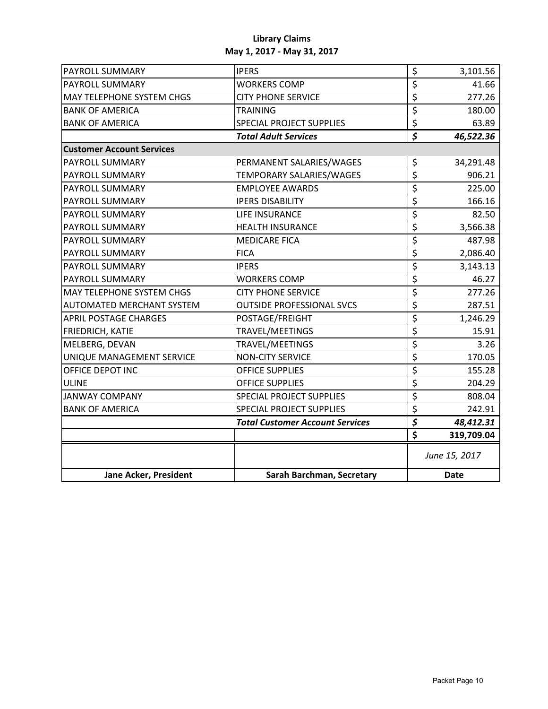| <b>PAYROLL SUMMARY</b>           | <b>IPERS</b>                           | \$                                  | 3,101.56      |  |
|----------------------------------|----------------------------------------|-------------------------------------|---------------|--|
| PAYROLL SUMMARY                  | <b>WORKERS COMP</b>                    | \$                                  | 41.66         |  |
| MAY TELEPHONE SYSTEM CHGS        | <b>CITY PHONE SERVICE</b>              | $\overline{\xi}$                    | 277.26        |  |
| <b>BANK OF AMERICA</b>           | <b>TRAINING</b>                        | $\overline{\xi}$                    | 180.00        |  |
| <b>BANK OF AMERICA</b>           | <b>SPECIAL PROJECT SUPPLIES</b>        | $\overline{\xi}$                    | 63.89         |  |
|                                  | <b>Total Adult Services</b>            | $\overline{\boldsymbol{\zeta}}$     | 46,522.36     |  |
| <b>Customer Account Services</b> |                                        |                                     |               |  |
| PAYROLL SUMMARY                  | PERMANENT SALARIES/WAGES               | \$                                  | 34,291.48     |  |
| PAYROLL SUMMARY                  | TEMPORARY SALARIES/WAGES               | $\overline{\xi}$                    | 906.21        |  |
| PAYROLL SUMMARY                  | <b>EMPLOYEE AWARDS</b>                 | $\overline{\xi}$                    | 225.00        |  |
| PAYROLL SUMMARY                  | <b>IPERS DISABILITY</b>                | $\overline{\xi}$                    | 166.16        |  |
| PAYROLL SUMMARY                  | LIFE INSURANCE                         | $\overline{\xi}$                    | 82.50         |  |
| PAYROLL SUMMARY                  | <b>HEALTH INSURANCE</b>                | $\overline{\xi}$                    | 3,566.38      |  |
| PAYROLL SUMMARY                  | <b>MEDICARE FICA</b>                   | $\overline{\varsigma}$              | 487.98        |  |
| PAYROLL SUMMARY                  | <b>FICA</b>                            | $\overline{\boldsymbol{\zeta}}$     | 2,086.40      |  |
| PAYROLL SUMMARY                  | <b>IPERS</b>                           | $\overline{\xi}$                    | 3,143.13      |  |
| <b>PAYROLL SUMMARY</b>           | <b>WORKERS COMP</b>                    | $\overline{\xi}$                    | 46.27         |  |
| <b>MAY TELEPHONE SYSTEM CHGS</b> | <b>CITY PHONE SERVICE</b>              | $\overline{\xi}$                    | 277.26        |  |
| AUTOMATED MERCHANT SYSTEM        | <b>OUTSIDE PROFESSIONAL SVCS</b>       | \$                                  | 287.51        |  |
| <b>APRIL POSTAGE CHARGES</b>     | POSTAGE/FREIGHT                        | $\overline{\xi}$                    | 1,246.29      |  |
| FRIEDRICH, KATIE                 | TRAVEL/MEETINGS                        | $\overline{\xi}$                    | 15.91         |  |
| MELBERG, DEVAN                   | TRAVEL/MEETINGS                        | $\overline{\xi}$                    | 3.26          |  |
| UNIQUE MANAGEMENT SERVICE        | <b>NON-CITY SERVICE</b>                | $\overline{\xi}$                    | 170.05        |  |
| OFFICE DEPOT INC                 | <b>OFFICE SUPPLIES</b>                 | $\overline{\xi}$                    | 155.28        |  |
| <b>ULINE</b>                     | <b>OFFICE SUPPLIES</b>                 | $\overline{\boldsymbol{\varsigma}}$ | 204.29        |  |
| <b>JANWAY COMPANY</b>            | <b>SPECIAL PROJECT SUPPLIES</b>        | \$                                  | 808.04        |  |
| <b>BANK OF AMERICA</b>           | <b>SPECIAL PROJECT SUPPLIES</b>        | $\overline{\xi}$                    | 242.91        |  |
|                                  | <b>Total Customer Account Services</b> | $\overline{\boldsymbol{\zeta}}$     | 48,412.31     |  |
|                                  |                                        | $\overline{\boldsymbol{\xi}}$       | 319,709.04    |  |
|                                  |                                        |                                     | June 15, 2017 |  |
| Jane Acker, President            | Sarah Barchman, Secretary              |                                     | <b>Date</b>   |  |
|                                  |                                        |                                     |               |  |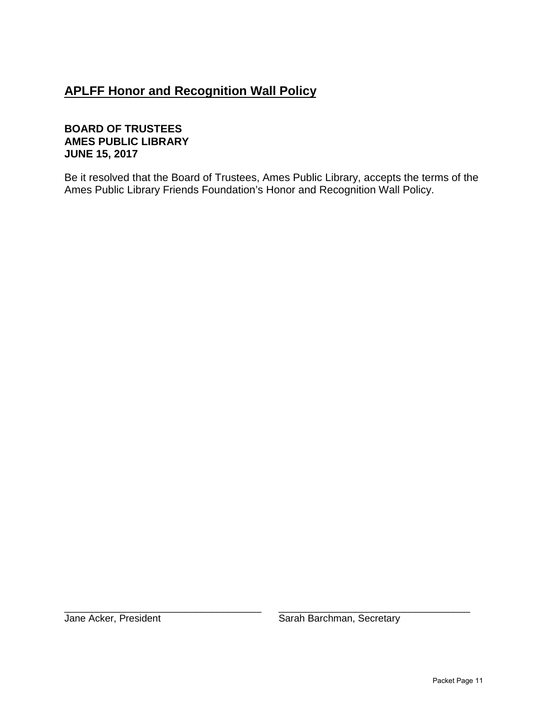# **APLFF Honor and Recognition Wall Policy**

## **BOARD OF TRUSTEES AMES PUBLIC LIBRARY JUNE 15, 2017**

Be it resolved that the Board of Trustees, Ames Public Library, accepts the terms of the Ames Public Library Friends Foundation's Honor and Recognition Wall Policy.